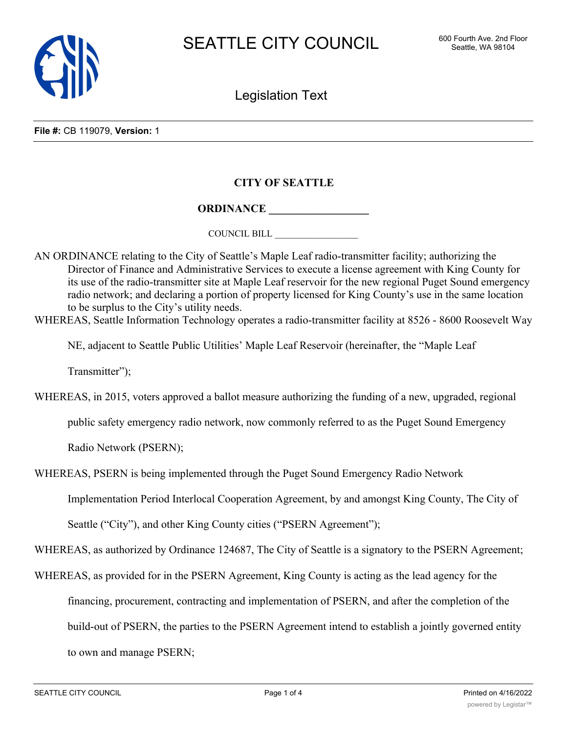

Legislation Text

## **CITY OF SEATTLE**

## **ORDINANCE \_\_\_\_\_\_\_\_\_\_\_\_\_\_\_\_\_\_**

COUNCIL BILL \_\_\_\_\_\_\_\_\_\_\_\_\_\_\_\_\_\_

AN ORDINANCE relating to the City of Seattle's Maple Leaf radio-transmitter facility; authorizing the Director of Finance and Administrative Services to execute a license agreement with King County for its use of the radio-transmitter site at Maple Leaf reservoir for the new regional Puget Sound emergency radio network; and declaring a portion of property licensed for King County's use in the same location to be surplus to the City's utility needs.

WHEREAS, Seattle Information Technology operates a radio-transmitter facility at 8526 - 8600 Roosevelt Way

NE, adjacent to Seattle Public Utilities' Maple Leaf Reservoir (hereinafter, the "Maple Leaf

Transmitter");

WHEREAS, in 2015, voters approved a ballot measure authorizing the funding of a new, upgraded, regional

public safety emergency radio network, now commonly referred to as the Puget Sound Emergency

Radio Network (PSERN);

WHEREAS, PSERN is being implemented through the Puget Sound Emergency Radio Network

Implementation Period Interlocal Cooperation Agreement, by and amongst King County, The City of

Seattle ("City"), and other King County cities ("PSERN Agreement");

WHEREAS, as authorized by Ordinance 124687, The City of Seattle is a signatory to the PSERN Agreement;

WHEREAS, as provided for in the PSERN Agreement, King County is acting as the lead agency for the

financing, procurement, contracting and implementation of PSERN, and after the completion of the

build-out of PSERN, the parties to the PSERN Agreement intend to establish a jointly governed entity

to own and manage PSERN;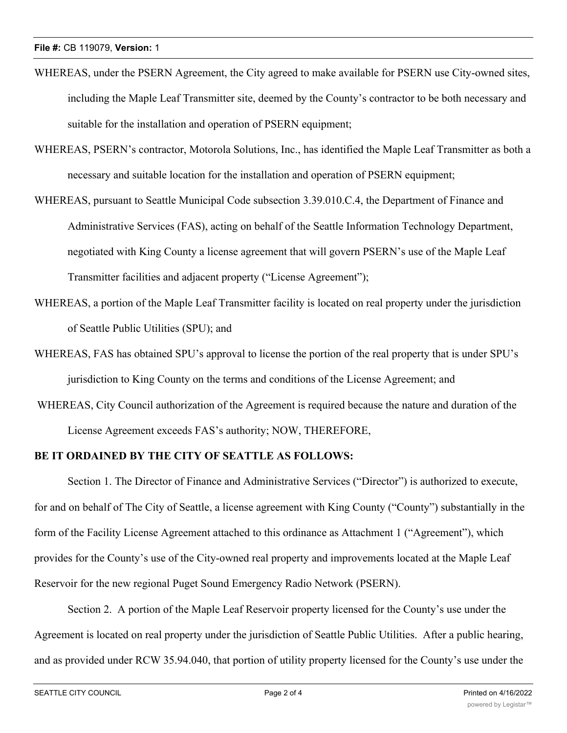- WHEREAS, under the PSERN Agreement, the City agreed to make available for PSERN use City-owned sites, including the Maple Leaf Transmitter site, deemed by the County's contractor to be both necessary and suitable for the installation and operation of PSERN equipment;
- WHEREAS, PSERN's contractor, Motorola Solutions, Inc., has identified the Maple Leaf Transmitter as both a necessary and suitable location for the installation and operation of PSERN equipment;
- WHEREAS, pursuant to Seattle Municipal Code subsection 3.39.010.C.4, the Department of Finance and Administrative Services (FAS), acting on behalf of the Seattle Information Technology Department, negotiated with King County a license agreement that will govern PSERN's use of the Maple Leaf Transmitter facilities and adjacent property ("License Agreement");
- WHEREAS, a portion of the Maple Leaf Transmitter facility is located on real property under the jurisdiction of Seattle Public Utilities (SPU); and
- WHEREAS, FAS has obtained SPU's approval to license the portion of the real property that is under SPU's jurisdiction to King County on the terms and conditions of the License Agreement; and
- WHEREAS, City Council authorization of the Agreement is required because the nature and duration of the License Agreement exceeds FAS's authority; NOW, THEREFORE,

## **BE IT ORDAINED BY THE CITY OF SEATTLE AS FOLLOWS:**

Section 1. The Director of Finance and Administrative Services ("Director") is authorized to execute, for and on behalf of The City of Seattle, a license agreement with King County ("County") substantially in the form of the Facility License Agreement attached to this ordinance as Attachment 1 ("Agreement"), which provides for the County's use of the City-owned real property and improvements located at the Maple Leaf Reservoir for the new regional Puget Sound Emergency Radio Network (PSERN).

Section 2. A portion of the Maple Leaf Reservoir property licensed for the County's use under the Agreement is located on real property under the jurisdiction of Seattle Public Utilities. After a public hearing, and as provided under RCW 35.94.040, that portion of utility property licensed for the County's use under the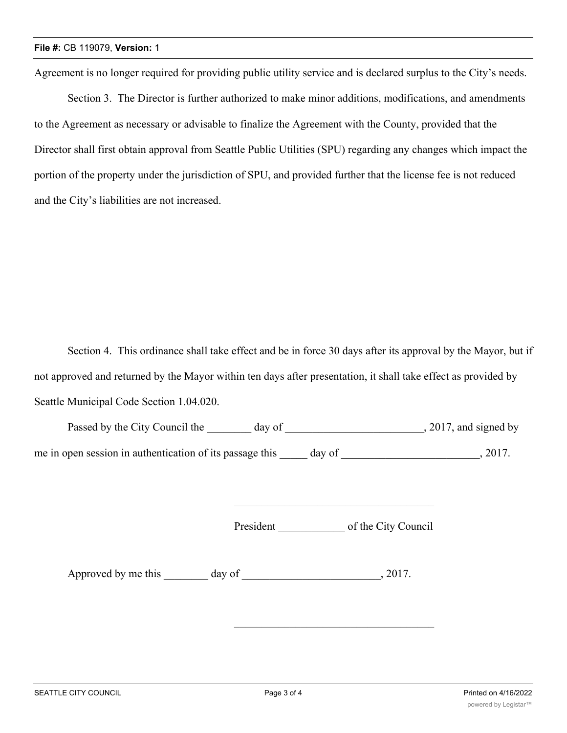Agreement is no longer required for providing public utility service and is declared surplus to the City's needs.

Section 3. The Director is further authorized to make minor additions, modifications, and amendments to the Agreement as necessary or advisable to finalize the Agreement with the County, provided that the Director shall first obtain approval from Seattle Public Utilities (SPU) regarding any changes which impact the portion of the property under the jurisdiction of SPU, and provided further that the license fee is not reduced and the City's liabilities are not increased.

Section 4. This ordinance shall take effect and be in force 30 days after its approval by the Mayor, but if not approved and returned by the Mayor within ten days after presentation, it shall take effect as provided by Seattle Municipal Code Section 1.04.020.

| Passed by the City Council the                           | day of |        | , 2017, and signed by |
|----------------------------------------------------------|--------|--------|-----------------------|
| me in open session in authentication of its passage this |        | day of | 2017.                 |

President of the City Council

\_\_\_\_\_\_\_\_\_\_\_\_\_\_\_\_\_\_\_\_\_\_\_\_\_\_\_\_\_\_\_\_\_\_\_\_

Approved by me this day of 3017.